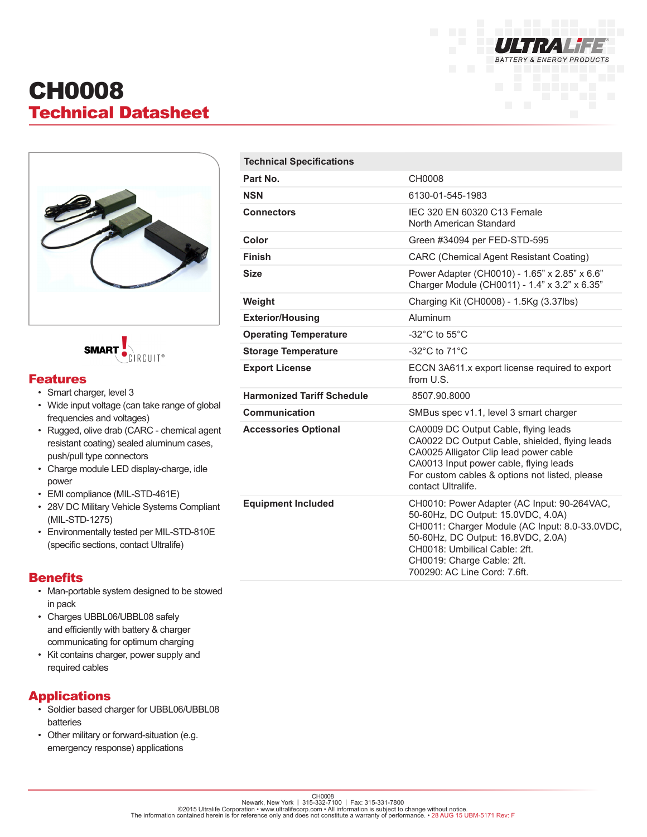

# CH0008 Technical Datasheet



**SMART**  $RCHIT^*$ 

### Features

- Smart charger, level 3
- Wide input voltage (can take range of global frequencies and voltages)
- Rugged, olive drab (CARC chemical agent resistant coating) sealed aluminum cases, push/pull type connectors
- Charge module LED display-charge, idle power
- EMI compliance (MIL-STD-461E)
- 28V DC Military Vehicle Systems Compliant (MIL-STD-1275)
- Environmentally tested per MIL-STD-810E (specific sections, contact Ultralife)

### **Benefits**

- Man-portable system designed to be stowed in pack
- Charges UBBL06/UBBL08 safely and efficiently with battery & charger communicating for optimum charging
- Kit contains charger, power supply and required cables

### Applications

- Soldier based charger for UBBL06/UBBL08 batteries
- Other military or forward-situation (e.g. emergency response) applications

| <b>Technical Specifications</b>   |                                                                                                                                                                                                                                                                          |  |
|-----------------------------------|--------------------------------------------------------------------------------------------------------------------------------------------------------------------------------------------------------------------------------------------------------------------------|--|
| Part No.                          | CH0008                                                                                                                                                                                                                                                                   |  |
| <b>NSN</b>                        | 6130-01-545-1983                                                                                                                                                                                                                                                         |  |
| <b>Connectors</b>                 | IEC 320 EN 60320 C13 Female<br>North American Standard                                                                                                                                                                                                                   |  |
| Color                             | Green #34094 per FED-STD-595                                                                                                                                                                                                                                             |  |
| <b>Finish</b>                     | <b>CARC (Chemical Agent Resistant Coating)</b>                                                                                                                                                                                                                           |  |
| <b>Size</b>                       | Power Adapter (CH0010) - 1.65" x 2.85" x 6.6"<br>Charger Module (CH0011) - 1.4" x 3.2" x 6.35"                                                                                                                                                                           |  |
| Weight                            | Charging Kit (CH0008) - 1.5Kg (3.37lbs)                                                                                                                                                                                                                                  |  |
| <b>Exterior/Housing</b>           | Aluminum                                                                                                                                                                                                                                                                 |  |
| <b>Operating Temperature</b>      | -32 $^{\circ}$ C to 55 $^{\circ}$ C                                                                                                                                                                                                                                      |  |
| <b>Storage Temperature</b>        | -32 $^{\circ}$ C to 71 $^{\circ}$ C                                                                                                                                                                                                                                      |  |
| <b>Export License</b>             | ECCN 3A611.x export license required to export<br>from U.S.                                                                                                                                                                                                              |  |
| <b>Harmonized Tariff Schedule</b> | 8507.90.8000                                                                                                                                                                                                                                                             |  |
| Communication                     | SMBus spec v1.1, level 3 smart charger                                                                                                                                                                                                                                   |  |
| <b>Accessories Optional</b>       | CA0009 DC Output Cable, flying leads<br>CA0022 DC Output Cable, shielded, flying leads<br>CA0025 Alligator Clip lead power cable<br>CA0013 Input power cable, flying leads<br>For custom cables & options not listed, please<br>contact Ultralife.                       |  |
| <b>Equipment Included</b>         | CH0010: Power Adapter (AC Input: 90-264VAC,<br>50-60Hz, DC Output: 15.0VDC, 4.0A)<br>CH0011: Charger Module (AC Input: 8.0-33.0VDC,<br>50-60Hz, DC Output: 16.8VDC, 2.0A)<br>CH0018: Umbilical Cable: 2ft.<br>CH0019: Charge Cable: 2ft.<br>700290: AC Line Cord: 7.6ft. |  |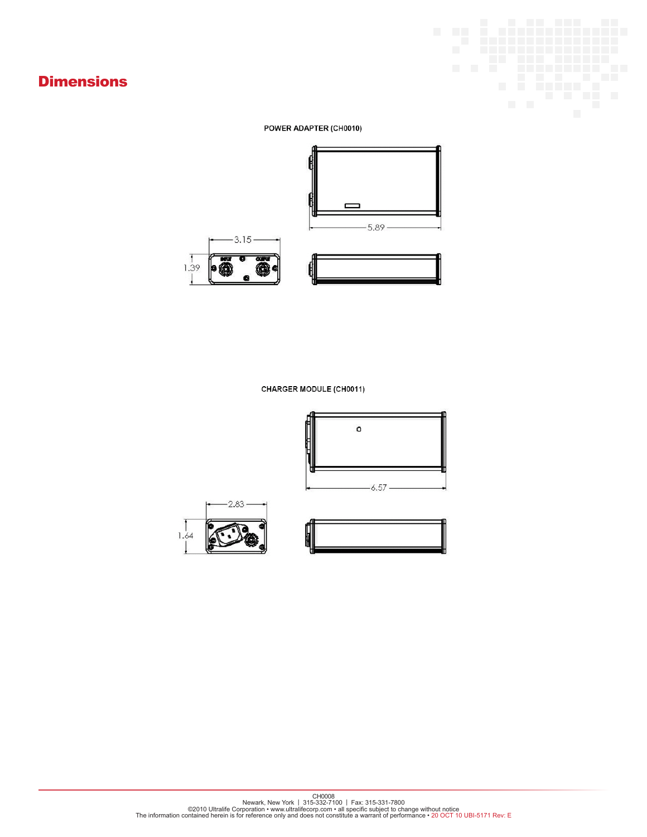# **Dimensions**



#### POWER ADAPTER (CH0010)







#### CHARGER MODULE (CH0011)